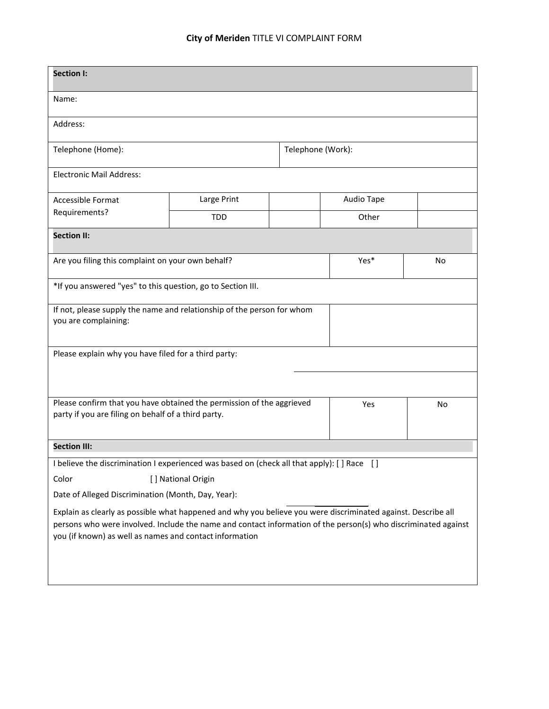## **City of Meriden** TITLE VI COMPLAINT FORM

| <b>Section I:</b>                                                                                                                                                                                                                                                                          |             |  |                   |           |  |  |
|--------------------------------------------------------------------------------------------------------------------------------------------------------------------------------------------------------------------------------------------------------------------------------------------|-------------|--|-------------------|-----------|--|--|
| Name:                                                                                                                                                                                                                                                                                      |             |  |                   |           |  |  |
| Address:                                                                                                                                                                                                                                                                                   |             |  |                   |           |  |  |
| Telephone (Home):                                                                                                                                                                                                                                                                          |             |  | Telephone (Work): |           |  |  |
| <b>Electronic Mail Address:</b>                                                                                                                                                                                                                                                            |             |  |                   |           |  |  |
| Accessible Format<br>Requirements?                                                                                                                                                                                                                                                         | Large Print |  | Audio Tape        |           |  |  |
|                                                                                                                                                                                                                                                                                            | <b>TDD</b>  |  | Other             |           |  |  |
| <b>Section II:</b>                                                                                                                                                                                                                                                                         |             |  |                   |           |  |  |
| Are you filing this complaint on your own behalf?                                                                                                                                                                                                                                          |             |  | Yes*              | <b>No</b> |  |  |
| *If you answered "yes" to this question, go to Section III.                                                                                                                                                                                                                                |             |  |                   |           |  |  |
| If not, please supply the name and relationship of the person for whom<br>you are complaining:                                                                                                                                                                                             |             |  |                   |           |  |  |
| Please explain why you have filed for a third party:                                                                                                                                                                                                                                       |             |  |                   |           |  |  |
|                                                                                                                                                                                                                                                                                            |             |  |                   |           |  |  |
| Please confirm that you have obtained the permission of the aggrieved<br>party if you are filing on behalf of a third party.                                                                                                                                                               |             |  | Yes               | No        |  |  |
| <b>Section III:</b>                                                                                                                                                                                                                                                                        |             |  |                   |           |  |  |
| I believe the discrimination I experienced was based on (check all that apply): [] Race []                                                                                                                                                                                                 |             |  |                   |           |  |  |
| [] National Origin<br>Color                                                                                                                                                                                                                                                                |             |  |                   |           |  |  |
| Date of Alleged Discrimination (Month, Day, Year):                                                                                                                                                                                                                                         |             |  |                   |           |  |  |
| Explain as clearly as possible what happened and why you believe you were discriminated against. Describe all<br>persons who were involved. Include the name and contact information of the person(s) who discriminated against<br>you (if known) as well as names and contact information |             |  |                   |           |  |  |
|                                                                                                                                                                                                                                                                                            |             |  |                   |           |  |  |